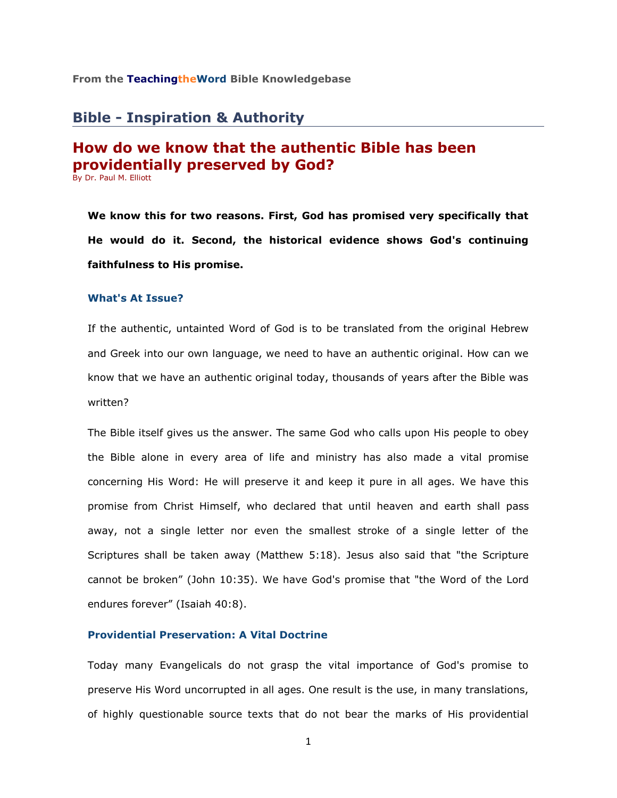#### **From the TeachingtheWord Bible Knowledgebase**

# **Bible - Inspiration & Authority**

# **How do we know that the authentic Bible has been providentially preserved by God?**

By Dr. Paul M. Elliott

**We know this for two reasons. First, God has promised very specifically that He would do it. Second, the historical evidence shows God's continuing faithfulness to His promise.** 

# **What's At Issue?**

If the authentic, untainted Word of God is to be translated from the original Hebrew and Greek into our own language, we need to have an authentic original. How can we know that we have an authentic original today, thousands of years after the Bible was written?

The Bible itself gives us the answer. The same God who calls upon His people to obey the Bible alone in every area of life and ministry has also made a vital promise concerning His Word: He will preserve it and keep it pure in all ages. We have this promise from Christ Himself, who declared that until heaven and earth shall pass away, not a single letter nor even the smallest stroke of a single letter of the Scriptures shall be taken away (Matthew 5:18). Jesus also said that "the Scripture cannot be broken" (John 10:35). We have God's promise that "the Word of the Lord endures forever" (Isaiah 40:8).

# **Providential Preservation: A Vital Doctrine**

Today many Evangelicals do not grasp the vital importance of God's promise to preserve His Word uncorrupted in all ages. One result is the use, in many translations, of highly questionable source texts that do not bear the marks of His providential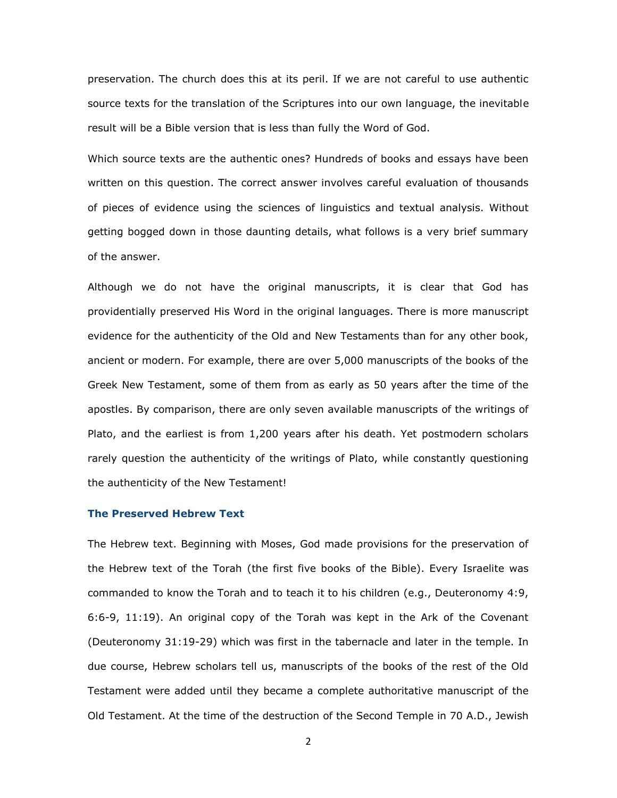preservation. The church does this at its peril. If we are not careful to use authentic source texts for the translation of the Scriptures into our own language, the inevitable result will be a Bible version that is less than fully the Word of God.

Which source texts are the authentic ones? Hundreds of books and essays have been written on this question. The correct answer involves careful evaluation of thousands of pieces of evidence using the sciences of linguistics and textual analysis. Without getting bogged down in those daunting details, what follows is a very brief summary of the answer.

Although we do not have the original manuscripts, it is clear that God has providentially preserved His Word in the original languages. There is more manuscript evidence for the authenticity of the Old and New Testaments than for any other book, ancient or modern. For example, there are over 5,000 manuscripts of the books of the Greek New Testament, some of them from as early as 50 years after the time of the apostles. By comparison, there are only seven available manuscripts of the writings of Plato, and the earliest is from 1,200 years after his death. Yet postmodern scholars rarely question the authenticity of the writings of Plato, while constantly questioning the authenticity of the New Testament!

#### **The Preserved Hebrew Text**

The Hebrew text. Beginning with Moses, God made provisions for the preservation of the Hebrew text of the Torah (the first five books of the Bible). Every Israelite was commanded to know the Torah and to teach it to his children (e.g., Deuteronomy 4:9, 6:6-9, 11:19). An original copy of the Torah was kept in the Ark of the Covenant (Deuteronomy 31:19-29) which was first in the tabernacle and later in the temple. In due course, Hebrew scholars tell us, manuscripts of the books of the rest of the Old Testament were added until they became a complete authoritative manuscript of the Old Testament. At the time of the destruction of the Second Temple in 70 A.D., Jewish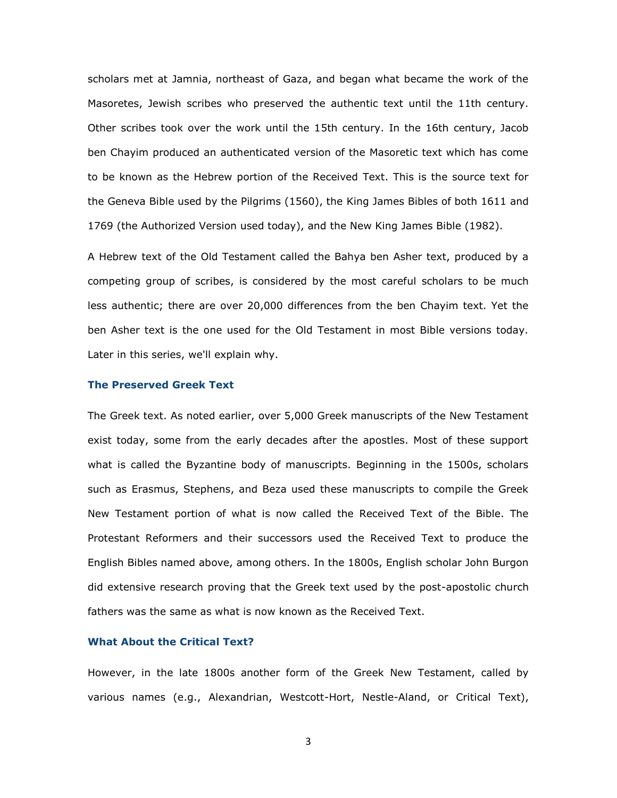scholars met at Jamnia, northeast of Gaza, and began what became the work of the Masoretes, Jewish scribes who preserved the authentic text until the 11th century. Other scribes took over the work until the 15th century. In the 16th century, Jacob ben Chayim produced an authenticated version of the Masoretic text which has come to be known as the Hebrew portion of the Received Text. This is the source text for the Geneva Bible used by the Pilgrims (1560), the King James Bibles of both 1611 and 1769 (the Authorized Version used today), and the New King James Bible (1982).

A Hebrew text of the Old Testament called the Bahya ben Asher text, produced by a competing group of scribes, is considered by the most careful scholars to be much less authentic; there are over 20,000 differences from the ben Chayim text. Yet the ben Asher text is the one used for the Old Testament in most Bible versions today. Later in this series, we'll explain why.

#### **The Preserved Greek Text**

The Greek text. As noted earlier, over 5,000 Greek manuscripts of the New Testament exist today, some from the early decades after the apostles. Most of these support what is called the Byzantine body of manuscripts. Beginning in the 1500s, scholars such as Erasmus, Stephens, and Beza used these manuscripts to compile the Greek New Testament portion of what is now called the Received Text of the Bible. The Protestant Reformers and their successors used the Received Text to produce the English Bibles named above, among others. In the 1800s, English scholar John Burgon did extensive research proving that the Greek text used by the post-apostolic church fathers was the same as what is now known as the Received Text.

### **What About the Critical Text?**

However, in the late 1800s another form of the Greek New Testament, called by various names (e.g., Alexandrian, Westcott-Hort, Nestle-Aland, or Critical Text),

3